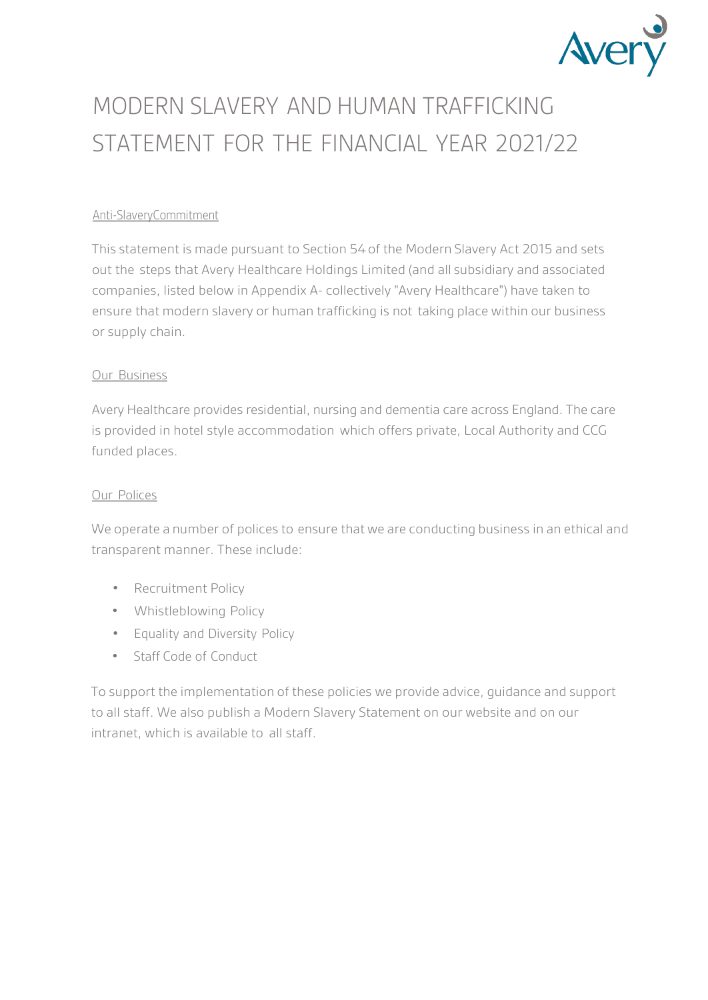

# MODERN SLAVERY AND HUMAN TRAFFICKING STATEMENT FOR THE FINANCIAL YEAR 2021/22

#### Anti-SlaveryCommitment

This statement is made pursuant to Section 54 of the Modern Slavery Act 2015 and sets out the steps that Avery Healthcare Holdings Limited (and all subsidiary and associated companies, listed below in Appendix A- collectively "Avery Healthcare") have taken to ensure that modern slavery or human trafficking is not taking place within our business or supply chain.

#### Our Business

Avery Healthcare provides residential, nursing and dementia care across England. The care is provided in hotel style accommodation which offers private, Local Authority and CCG funded places.

#### Our Polices

We operate a number of polices to ensure that we are conducting business in an ethical and transparent manner. These include:

- Recruitment Policy
- Whistleblowing Policy
- Equality and Diversity Policy
- Staff Code of Conduct

To support the implementation of these policies we provide advice, guidance and support to all staff. We also publish a Modern Slavery Statement on our website and on our intranet, which is available to all staff.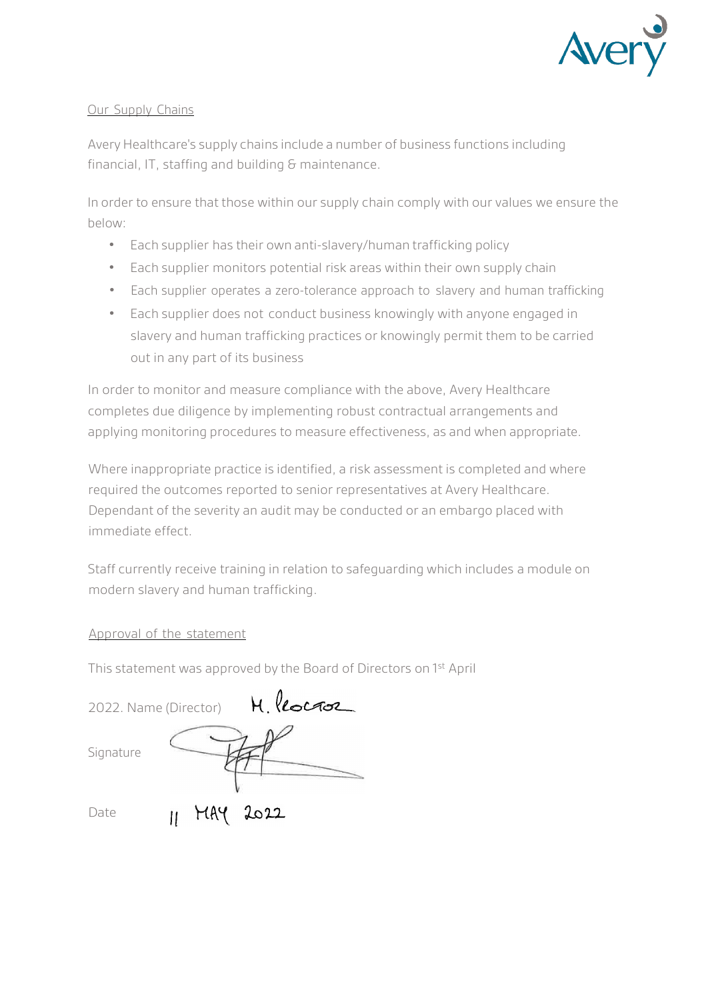

### Our Supply Chains

Avery Healthcare's supply chains include a number of business functions including financial, IT, staffing and building & maintenance.

In order to ensure that those within our supply chain comply with our values we ensure the below:

- Each supplier has their own anti-slavery/human trafficking policy
- Each supplier monitors potential risk areas within their own supply chain
- Each supplier operates a zero-tolerance approach to slavery and human trafficking
- Each supplier does not conduct business knowingly with anyone engaged in slavery and human trafficking practices or knowingly permit them to be carried out in any part of its business

In order to monitor and measure compliance with the above, Avery Healthcare completes due diligence by implementing robust contractual arrangements and applying monitoring procedures to measure effectiveness, as and when appropriate.

Where inappropriate practice is identified, a risk assessment is completed and where required the outcomes reported to senior representatives at Avery Healthcare. Dependant of the severity an audit may be conducted or an embargo placed with immediate effect.

Staff currently receive training in relation to safeguarding which includes a module on modern slavery and human trafficking.

## Approval of the statement

This statement was approved by the Board of Directors on 1st April

|           |                         | 2022. Name (Director) H. locase |
|-----------|-------------------------|---------------------------------|
| Signature |                         |                                 |
| Date      | $H_{\text{H}}$ MAY 2022 |                                 |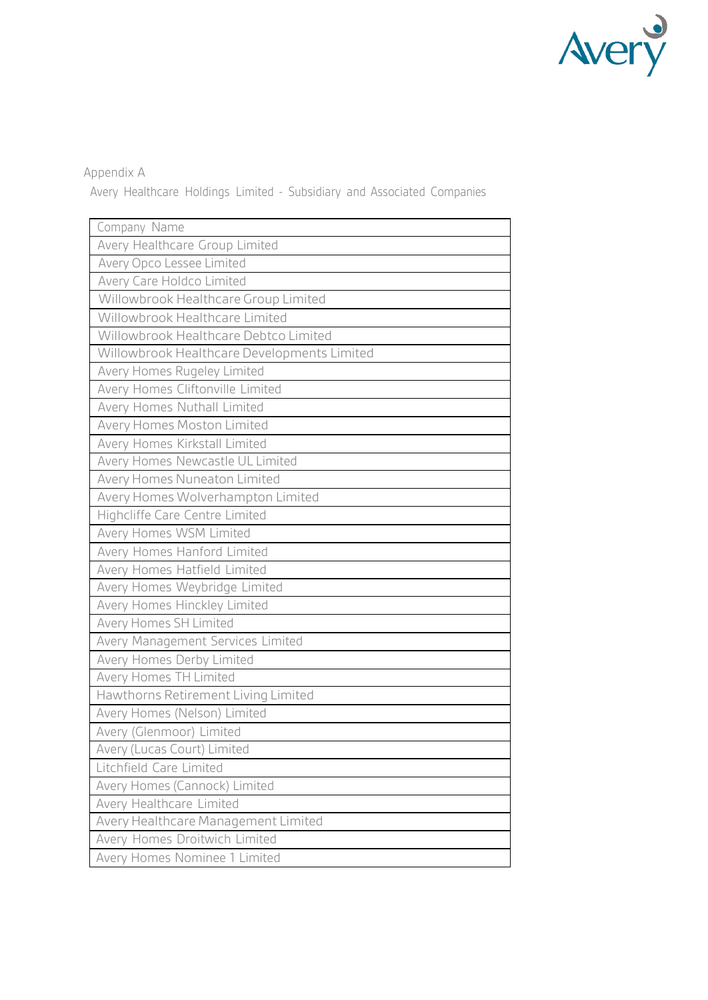

# Appendix A

Avery Healthcare Holdings Limited - Subsidiary and Associated Companies

| Company Name                                |  |  |
|---------------------------------------------|--|--|
| Avery Healthcare Group Limited              |  |  |
| Avery Opco Lessee Limited                   |  |  |
| Avery Care Holdco Limited                   |  |  |
| Willowbrook Healthcare Group Limited        |  |  |
| Willowbrook Healthcare Limited              |  |  |
| Willowbrook Healthcare Debtco Limited       |  |  |
| Willowbrook Healthcare Developments Limited |  |  |
| Avery Homes Rugeley Limited                 |  |  |
| Avery Homes Cliftonville Limited            |  |  |
| Avery Homes Nuthall Limited                 |  |  |
| Avery Homes Moston Limited                  |  |  |
| Avery Homes Kirkstall Limited               |  |  |
| Avery Homes Newcastle UL Limited            |  |  |
| Avery Homes Nuneaton Limited                |  |  |
| Avery Homes Wolverhampton Limited           |  |  |
| Highcliffe Care Centre Limited              |  |  |
| Avery Homes WSM Limited                     |  |  |
| Avery Homes Hanford Limited                 |  |  |
| Avery Homes Hatfield Limited                |  |  |
| Avery Homes Weybridge Limited               |  |  |
| Avery Homes Hinckley Limited                |  |  |
| Avery Homes SH Limited                      |  |  |
| Avery Management Services Limited           |  |  |
| Avery Homes Derby Limited                   |  |  |
| Avery Homes TH Limited                      |  |  |
| Hawthorns Retirement Living Limited         |  |  |
| Avery Homes (Nelson) Limited                |  |  |
| Avery (Glenmoor) Limited                    |  |  |
| Avery (Lucas Court) Limited                 |  |  |
| Litchfield Care Limited                     |  |  |
| Avery Homes (Cannock) Limited               |  |  |
| Avery Healthcare Limited                    |  |  |
| Avery Healthcare Management Limited         |  |  |
| Avery Homes Droitwich Limited               |  |  |
| Avery Homes Nominee 1 Limited               |  |  |